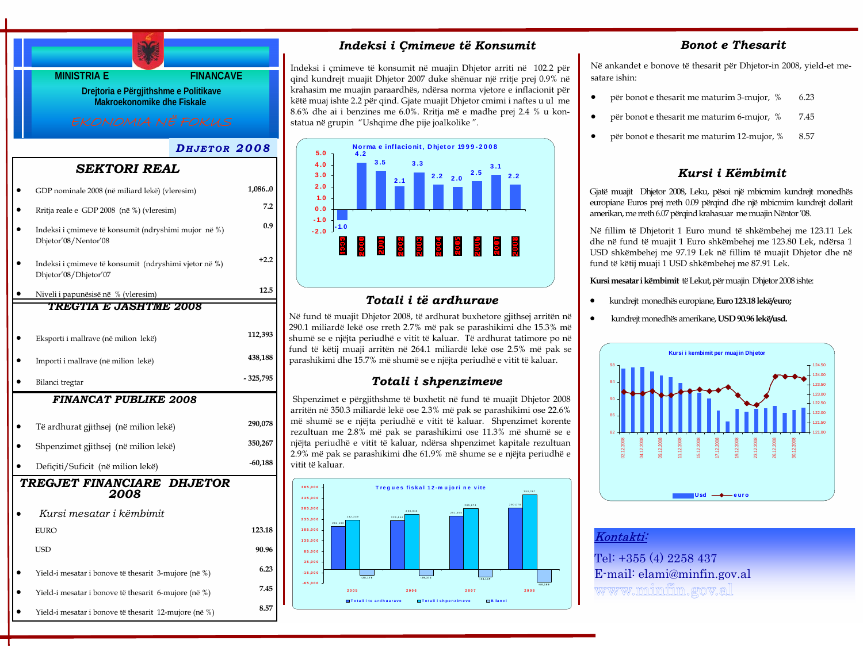

- Yield-i mesatar i bonove të thesarit 3-mujore (në %) **6.23**
- Yield-i mesatar i bonove të thesarit 6-mujore (në %) **7.45**
- Yield-i mesatar i bonove të thesarit 12-mujore (në %) **8.57**

# *Indeksi i Çmimeve të Konsumit*

Indeksi i çmimeve të konsumit në muajin Dhjetor arriti në 102.2 për qind kundrejt muajit Dhjetor 2007 duke shënuar një rritje prej 0.9% në krahasim me muajin paraardhës, ndërsa norma vjetore e inflacionit për këtë muaj ishte 2.2 për qind. Gjate muajit Dhjetor cmimi i naftes u ul me 8.6% dhe ai i benzines me 6.0%. Rritja më e madhe prej 2.4 % u konstatua në grupin "Ushqime dhe pije joalkolike ".



# *Totali i të ardhurave*

Në fund të muajit Dhjetor 2008, të ardhurat buxhetore gjithsej arritën në 290.1 miliardë lekë ose rreth 2.7% më pak se parashikimi dhe 15.3% më shumë se e njëjta periudhë e vitit të kaluar. Të ardhurat tatimore po në fund të këtij muaji arritën në 264.1 miliardë lekë ose 2.5% më pak se parashikimi dhe 15.7% më shumë se e njëjta periudhë e vitit të kaluar.

# *Totali i shpenzimeve*

Shpenzimet e përgjithshme të buxhetit në fund të muajit Dhjetor 2008 arritën në 350.3 miliardë lekë ose 2.3% më pak se parashikimi ose 22.6% më shumë se e njëjta periudhë e vitit të kaluar. Shpenzimet korente rezultuan me 2.8% më pak se parashikimi ose 11.3% më shumë se e njëjta periudhë e vitit të kaluar, ndërsa shpenzimet kapitale rezultuan 2.9% më pak se parashikimi dhe 61.9% më shume se e njëjta periudhë e vitit të kaluar.



# *Bonot e Thesarit*

Në ankandet e bonove të thesarit për Dhjetor-in 2008, yield-et mesatare ishin:

- për bonot e thesarit me maturim 3-mujor, % 6.23
- për bonot e thesarit me maturim 6-mujor, % 7.45
- për bonot e thesarit me maturim 12-mujor, % 8.57

# *Kursi i Këmbimit*

Gjatë muajit Dhjetor 2008, Leku, pësoi një mbicmim kundrejt monedhës europiane Euros prej rreth 0.09 përqind dhe një mbicmim kundrejt dollarit amerikan, me rreth 6.07 përqind krahasuar me muajin Nëntor '08.

Në fillim të Dhjetorit 1 Euro mund të shkëmbehej me 123.11 Lek dhe në fund të muajit 1 Euro shkëmbehej me 123.80 Lek, ndërsa 1 USD shkëmbehej me 97.19 Lek në fillim të muajit Dhjetor dhe në fund të këtij muaji 1 USD shkëmbehej me 87.91 Lek.

**Kursi mesatar i këmbimit** të Lekut, për muajin Dhjetor 2008 ishte:

- kundrejt monedhës europiane, **Euro 123.18 lekë/euro;**
- kundrejt monedhës amerikane, **USD 90.96 lekë/usd.**



## Kontakti:

Tel: +355 (4) 2258 437 E-mail: elami@minfin.gov.al www.minfin.gov.al